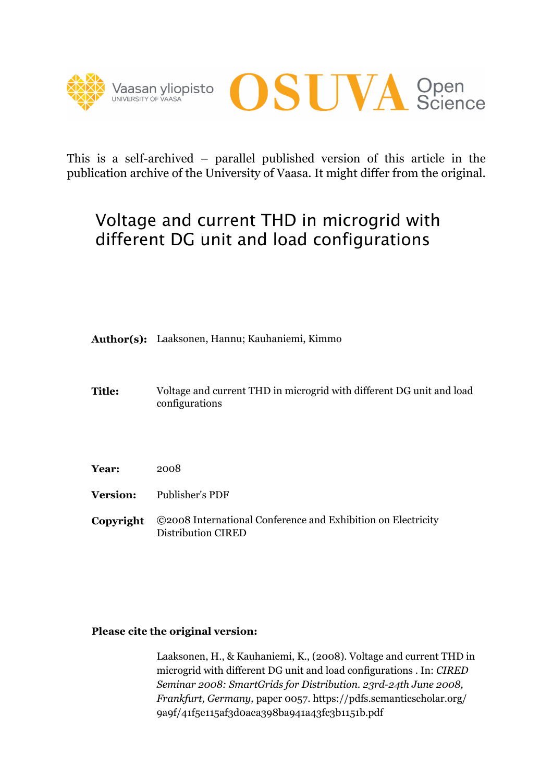



This is a self-archived – parallel published version of this article in the publication archive of the University of Vaasa. It might differ from the original.

# Voltage and current THD in microgrid with different DG unit and load configurations

**Author(s):**  Laaksonen, Hannu; Kauhaniemi, Kimmo

- **Title:** Voltage and current THD in microgrid with different DG unit and load configurations
- **Year:**  2008
- **Version:**  Publisher's PDF
- **Copyright**  ©2008 International Conference and Exhibition on Electricity

# **Please cite the original version:**

Distribution CIRED<br>h**e original version:**<br>Laaksonen, H., & Kauhaniemi, K., (2008). Voltage and current THD in microgrid with different DG unit and load configurations . In: *CIRED Seminar 2008: SmartGrids for Distribution. 23rd-24th June 2008, Frankfurt, Germany,* paper 0057. https://pdfs.semanticscholar.org/ 9a9f/41f5e115af3d0aea398ba941a43fc3b1151b.pdf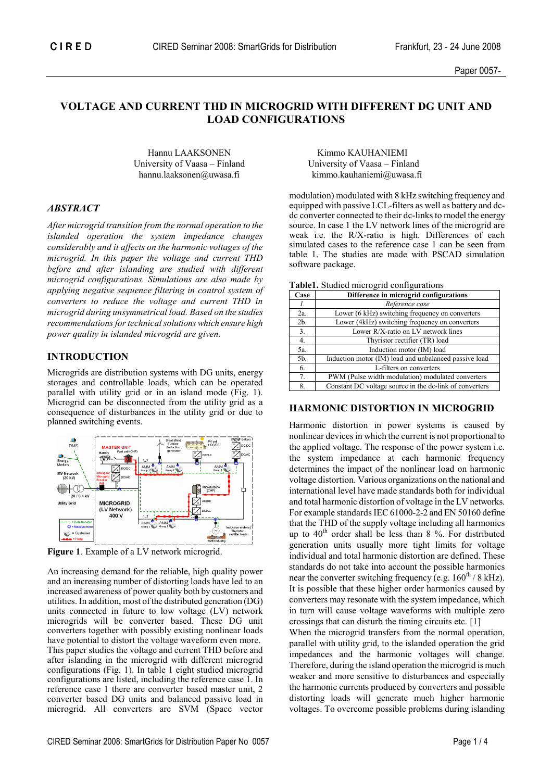# **VOLTAGE AND CURRENT THD IN MICROGRID WITH DIFFERENT DG UNIT AND LOAD CONFIGURATIONS**

University of Vaasa – Finland University of Vaasa – Finland

## *ABSTRACT*

*After microgrid transition from the normal operation to the islanded operation the system impedance changes considerably and it affects on the harmonic voltages of the microgrid. In this paper the voltage and current THD before and after islanding are studied with different microgrid configurations. Simulations are also made by applying negative sequence filtering in control system of converters to reduce the voltage and current THD in microgrid during unsymmetrical load. Based on the studies recommendations for technical solutions which ensure high power quality in islanded microgrid are given.* 

#### **INTRODUCTION**

Microgrids are distribution systems with DG units, energy storages and controllable loads, which can be operated parallel with utility grid or in an island mode (Fig. 1). Microgrid can be disconnected from the utility grid as a consequence of disturbances in the utility grid or due to planned switching events.



**Figure 1**. Example of a LV network microgrid.

An increasing demand for the reliable, high quality power and an increasing number of distorting loads have led to an increased awareness of power quality both by customers and utilities. In addition, most of the distributed generation (DG) units connected in future to low voltage (LV) network microgrids will be converter based. These DG unit converters together with possibly existing nonlinear loads have potential to distort the voltage waveform even more. This paper studies the voltage and current THD before and after islanding in the microgrid with different microgrid configurations (Fig. 1). In table 1 eight studied microgrid configurations are listed, including the reference case 1. In reference case 1 there are converter based master unit, 2 converter based DG units and balanced passive load in microgrid. All converters are SVM (Space vector

Hannu LAAKSONEN Kimmo KAUHANIEMI hannu.laaksonen@uwasa.fi kimmo.kauhaniemi@uwasa.fi

> modulation) modulated with 8 kHz switching frequency and equipped with passive LCL-filters as well as battery and dcdc converter connected to their dc-links to model the energy source. In case 1 the LV network lines of the microgrid are weak i.e. the R/X-ratio is high. Differences of each simulated cases to the reference case 1 can be seen from table 1. The studies are made with PSCAD simulation software package.

|  | Table1. Studied microgrid configurations |
|--|------------------------------------------|
|  |                                          |

| Case           | Difference in microgrid configurations                  |  |  |
|----------------|---------------------------------------------------------|--|--|
| Ι.             | Reference case                                          |  |  |
| 2a.            | Lower (6 kHz) switching frequency on converters         |  |  |
| 2 <sub>b</sub> | Lower (4kHz) switching frequency on converters          |  |  |
| 3.             | Lower R/X-ratio on LV network lines                     |  |  |
| 4.             | Thyristor rectifier (TR) load                           |  |  |
| 5a.            | Induction motor (IM) load                               |  |  |
| 5b.            | Induction motor (IM) load and unbalanced passive load   |  |  |
| 6.             | L-filters on converters                                 |  |  |
| 7.             | PWM (Pulse width modulation) modulated converters       |  |  |
| 8.             | Constant DC voltage source in the dc-link of converters |  |  |

#### **HARMONIC DISTORTION IN MICROGRID**

Harmonic distortion in power systems is caused by nonlinear devices in which the current is not proportional to the applied voltage. The response of the power system i.e. the system impedance at each harmonic frequency determines the impact of the nonlinear load on harmonic voltage distortion. Various organizations on the national and international level have made standards both for individual and total harmonic distortion of voltage in the LV networks. For example standards IEC 61000-2-2 and EN 50160 define that the THD of the supply voltage including all harmonics up to  $40<sup>th</sup>$  order shall be less than 8 %. For distributed generation units usually more tight limits for voltage individual and total harmonic distortion are defined. These standards do not take into account the possible harmonics near the converter switching frequency (e.g.  $160^{th}$  / 8 kHz). It is possible that these higher order harmonics caused by converters may resonate with the system impedance, which in turn will cause voltage waveforms with multiple zero crossings that can disturb the timing circuits etc. [1]

When the microgrid transfers from the normal operation, parallel with utility grid, to the islanded operation the grid impedances and the harmonic voltages will change. Therefore, during the island operation the microgrid is much weaker and more sensitive to disturbances and especially the harmonic currents produced by converters and possible distorting loads will generate much higher harmonic voltages. To overcome possible problems during islanding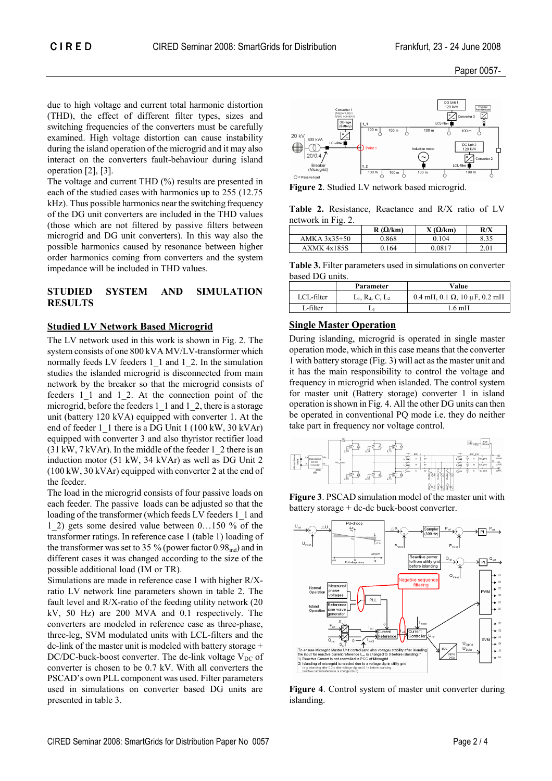Paper 0057-

due to high voltage and current total harmonic distortion (THD), the effect of different filter types, sizes and switching frequencies of the converters must be carefully examined. High voltage distortion can cause instability during the island operation of the microgrid and it may also interact on the converters fault-behaviour during island operation [2], [3].

The voltage and current THD (%) results are presented in each of the studied cases with harmonics up to 255 (12.75 kHz). Thus possible harmonics near the switching frequency of the DG unit converters are included in the THD values (those which are not filtered by passive filters between microgrid and DG unit converters). In this way also the possible harmonics caused by resonance between higher order harmonics coming from converters and the system impedance will be included in THD values.

## **STUDIED SYSTEM AND SIMULATION RESULTS**

#### **Studied LV Network Based Microgrid**

The LV network used in this work is shown in Fig. 2. The system consists of one 800 kVA MV/LV-transformer which normally feeds LV feeders 1\_1 and 1\_2. In the simulation studies the islanded microgrid is disconnected from main network by the breaker so that the microgrid consists of feeders 1\_1 and 1\_2. At the connection point of the microgrid, before the feeders 1\_1 and 1\_2, there is a storage unit (battery 120 kVA) equipped with converter 1. At the end of feeder 1\_1 there is a DG Unit 1 (100 kW, 30 kVAr) equipped with converter 3 and also thyristor rectifier load  $(31 \text{ kW}, 7 \text{ kVAr})$ . In the middle of the feeder 1 2 there is an induction motor (51 kW, 34 kVAr) as well as DG Unit 2 (100 kW, 30 kVAr) equipped with converter 2 at the end of the feeder.

The load in the microgrid consists of four passive loads on each feeder. The passive loads can be adjusted so that the loading of the transformer (which feeds LV feeders 1 1 and 1\_2) gets some desired value between  $0...150$  % of the transformer ratings. In reference case 1 (table 1) loading of the transformer was set to 35 % (power factor  $0.98<sub>ind</sub>$ ) and in different cases it was changed according to the size of the possible additional load (IM or TR).

Simulations are made in reference case 1 with higher R/Xratio LV network line parameters shown in table 2. The fault level and R/X-ratio of the feeding utility network (20 kV, 50 Hz) are 200 MVA and 0.1 respectively. The converters are modeled in reference case as three-phase, three-leg, SVM modulated units with LCL-filters and the dc-link of the master unit is modeled with battery storage + DC/DC-buck-boost converter. The dc-link voltage  $V_{DC}$  of converter is chosen to be 0.7 kV. With all converters the PSCAD's own PLL component was used. Filter parameters used in simulations on converter based DG units are presented in table 3.



**Figure 2**. Studied LV network based microgrid.

**Table 2.** Resistance, Reactance and R/X ratio of LV network in Fig. 2.

|              | $R(\Omega/km)$ | $X(\Omega/km)$ | R/X  |
|--------------|----------------|----------------|------|
| AMKA 3x35+50 | 0.868          | 0.104          | 8.35 |
| AXMK 4x185S  | 0.164          | 0.0817         | 2.01 |

**Table 3.** Filter parameters used in simulations on converter based DG units.

|            | Parameter                   | Value                                         |
|------------|-----------------------------|-----------------------------------------------|
| LCL-filter | $L_1$ , $R_d$ , $C$ , $L_2$ | $0.4$ mH, $0.1 \Omega$ , $10 \mu$ F, $0.2$ mH |
| L-filter   |                             | 1.6 mH                                        |

## **Single Master Operation**

During islanding, microgrid is operated in single master operation mode, which in this case means that the converter 1 with battery storage (Fig. 3) will act as the master unit and it has the main responsibility to control the voltage and frequency in microgrid when islanded. The control system for master unit (Battery storage) converter 1 in island operation is shown in Fig. 4. All the other DG units can then be operated in conventional PQ mode i.e. they do neither take part in frequency nor voltage control.



**Figure 3**. PSCAD simulation model of the master unit with battery storage + dc-dc buck-boost converter.



**Figure 4**. Control system of master unit converter during islanding.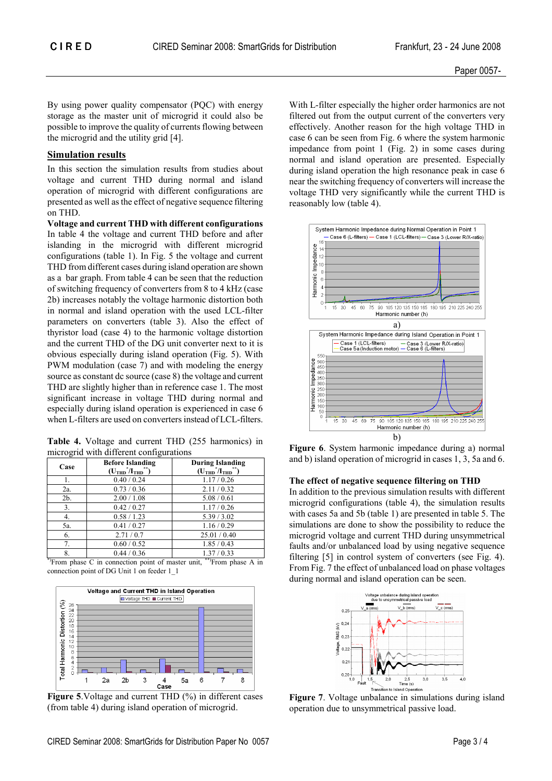By using power quality compensator (PQC) with energy storage as the master unit of microgrid it could also be possible to improve the quality of currents flowing between the microgrid and the utility grid [4].

## **Simulation results**

In this section the simulation results from studies about voltage and current THD during normal and island operation of microgrid with different configurations are presented as well as the effect of negative sequence filtering on THD.

**Voltage and current THD with different configurations**  In table 4 the voltage and current THD before and after islanding in the microgrid with different microgrid configurations (table 1). In Fig. 5 the voltage and current THD from different cases during island operation are shown as a bar graph. From table 4 can be seen that the reduction of switching frequency of converters from 8 to 4 kHz (case 2b) increases notably the voltage harmonic distortion both in normal and island operation with the used LCL-filter parameters on converters (table 3). Also the effect of thyristor load (case 4) to the harmonic voltage distortion and the current THD of the DG unit converter next to it is obvious especially during island operation (Fig. 5). With PWM modulation (case 7) and with modeling the energy source as constant dc source (case 8) the voltage and current THD are slightly higher than in reference case 1. The most significant increase in voltage THD during normal and especially during island operation is experienced in case 6 when L-filters are used on converters instead of LCL-filters.

**Table 4.** Voltage and current THD (255 harmonics) in microgrid with different configurations

| Case   | <b>Before Islanding</b><br>$(UTHD*/ITHD**)$ | <b>During Islanding</b><br>$(\mathbf{U}_{\text{THD}}^{\text{*}}/\mathbf{I}_{\text{THD}}^{\text{*}})$ |
|--------|---------------------------------------------|------------------------------------------------------------------------------------------------------|
|        | 0.40 / 0.24                                 | 1.17/0.26                                                                                            |
| 2a.    | 0.73/0.36                                   | 2.11/0.32                                                                                            |
| $2b$ . | 2.00 / 1.08                                 | 5.08 / 0.61                                                                                          |
| 3.     | 0.42 / 0.27                                 | 1.17/0.26                                                                                            |
| 4.     | 0.58 / 1.23                                 | 5.39 / 3.02                                                                                          |
| 5a.    | 0.41 / 0.27                                 | 1.16/0.29                                                                                            |
| 6.     | 2.71/0.7                                    | 25.01 / 0.40                                                                                         |
| 7.     | 0.60 / 0.52                                 | 1.85/0.43                                                                                            |
| 8.     | 0.44 / 0.36                                 | 1.37/0.33                                                                                            |

\*)From phase C in connection point of master unit, \*\*)From phase A in connection point of DG Unit 1 on feeder 1\_1



**Figure 5**.Voltage and current THD (%) in different cases (from table 4) during island operation of microgrid.

With L-filter especially the higher order harmonics are not filtered out from the output current of the converters very effectively. Another reason for the high voltage THD in case 6 can be seen from Fig. 6 where the system harmonic impedance from point 1 (Fig. 2) in some cases during normal and island operation are presented. Especially during island operation the high resonance peak in case 6 near the switching frequency of converters will increase the voltage THD very significantly while the current THD is reasonably low (table 4).



**Figure 6**. System harmonic impedance during a) normal and b) island operation of microgrid in cases 1, 3, 5a and 6.

#### **The effect of negative sequence filtering on THD**

In addition to the previous simulation results with different microgrid configurations (table 4), the simulation results with cases 5a and 5b (table 1) are presented in table 5. The simulations are done to show the possibility to reduce the microgrid voltage and current THD during unsymmetrical faults and/or unbalanced load by using negative sequence filtering [5] in control system of converters (see Fig. 4). From Fig. 7 the effect of unbalanced load on phase voltages during normal and island operation can be seen.



**Figure 7**. Voltage unbalance in simulations during island operation due to unsymmetrical passive load.